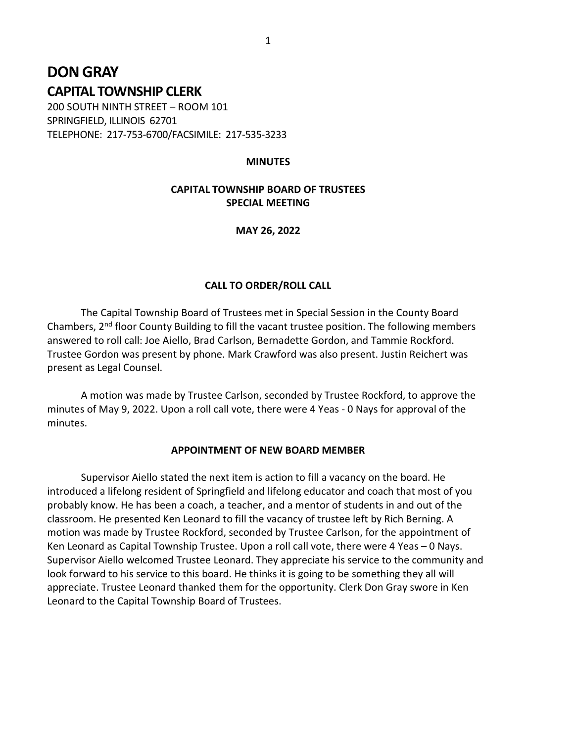# DON GRAY CAPITAL TOWNSHIP CLERK

200 SOUTH NINTH STREET – ROOM 101 SPRINGFIELD, ILLINOIS 62701 TELEPHONE: 217-753-6700/FACSIMILE: 217-535-3233

### **MINUTES**

## CAPITAL TOWNSHIP BOARD OF TRUSTEES SPECIAL MEETING

MAY 26, 2022

### CALL TO ORDER/ROLL CALL

 The Capital Township Board of Trustees met in Special Session in the County Board Chambers, 2nd floor County Building to fill the vacant trustee position. The following members answered to roll call: Joe Aiello, Brad Carlson, Bernadette Gordon, and Tammie Rockford. Trustee Gordon was present by phone. Mark Crawford was also present. Justin Reichert was present as Legal Counsel.

 A motion was made by Trustee Carlson, seconded by Trustee Rockford, to approve the minutes of May 9, 2022. Upon a roll call vote, there were 4 Yeas - 0 Nays for approval of the minutes.

#### APPOINTMENT OF NEW BOARD MEMBER

 Supervisor Aiello stated the next item is action to fill a vacancy on the board. He introduced a lifelong resident of Springfield and lifelong educator and coach that most of you probably know. He has been a coach, a teacher, and a mentor of students in and out of the classroom. He presented Ken Leonard to fill the vacancy of trustee left by Rich Berning. A motion was made by Trustee Rockford, seconded by Trustee Carlson, for the appointment of Ken Leonard as Capital Township Trustee. Upon a roll call vote, there were 4 Yeas – 0 Nays. Supervisor Aiello welcomed Trustee Leonard. They appreciate his service to the community and look forward to his service to this board. He thinks it is going to be something they all will appreciate. Trustee Leonard thanked them for the opportunity. Clerk Don Gray swore in Ken Leonard to the Capital Township Board of Trustees.